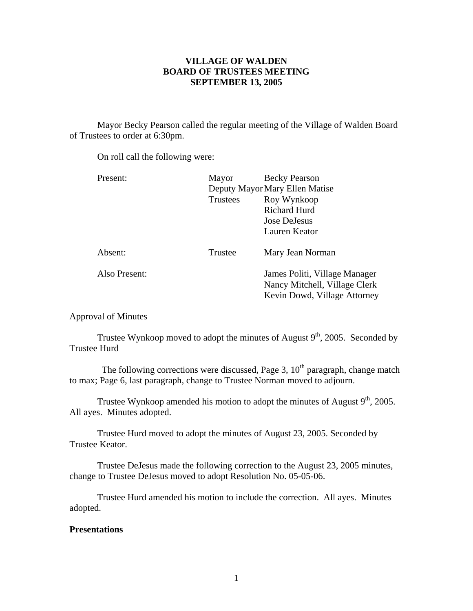# **VILLAGE OF WALDEN BOARD OF TRUSTEES MEETING SEPTEMBER 13, 2005**

 Mayor Becky Pearson called the regular meeting of the Village of Walden Board of Trustees to order at 6:30pm.

On roll call the following were:

| Present:      | Mayor                          | <b>Becky Pearson</b>          |
|---------------|--------------------------------|-------------------------------|
|               | Deputy Mayor Mary Ellen Matise |                               |
|               | Trustees                       | Roy Wynkoop                   |
|               |                                | <b>Richard Hurd</b>           |
|               |                                | Jose DeJesus                  |
|               |                                | Lauren Keator                 |
|               |                                |                               |
| Absent:       | Trustee                        | Mary Jean Norman              |
|               |                                |                               |
| Also Present: |                                | James Politi, Village Manager |
|               |                                | Nancy Mitchell, Village Clerk |
|               |                                | Kevin Dowd, Village Attorney  |

Approval of Minutes

Trustee Wynkoop moved to adopt the minutes of August  $9<sup>th</sup>$ , 2005. Seconded by Trustee Hurd

The following corrections were discussed, Page 3,  $10<sup>th</sup>$  paragraph, change match to max; Page 6, last paragraph, change to Trustee Norman moved to adjourn.

Trustee Wynkoop amended his motion to adopt the minutes of August  $9<sup>th</sup>$ , 2005. All ayes. Minutes adopted.

 Trustee Hurd moved to adopt the minutes of August 23, 2005. Seconded by Trustee Keator.

Trustee DeJesus made the following correction to the August 23, 2005 minutes, change to Trustee DeJesus moved to adopt Resolution No. 05-05-06.

Trustee Hurd amended his motion to include the correction. All ayes. Minutes adopted.

# **Presentations**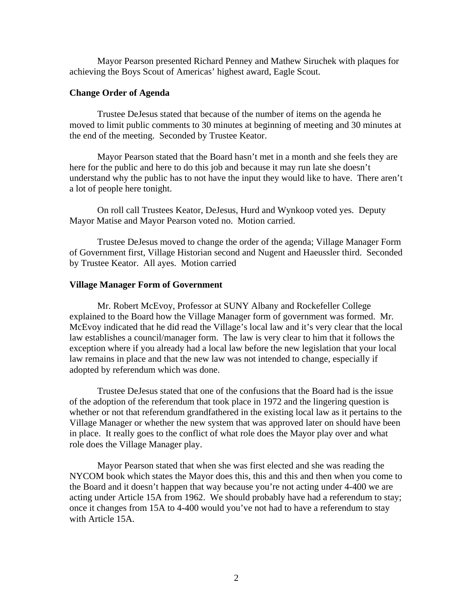Mayor Pearson presented Richard Penney and Mathew Siruchek with plaques for achieving the Boys Scout of Americas' highest award, Eagle Scout.

### **Change Order of Agenda**

Trustee DeJesus stated that because of the number of items on the agenda he moved to limit public comments to 30 minutes at beginning of meeting and 30 minutes at the end of the meeting. Seconded by Trustee Keator.

 Mayor Pearson stated that the Board hasn't met in a month and she feels they are here for the public and here to do this job and because it may run late she doesn't understand why the public has to not have the input they would like to have. There aren't a lot of people here tonight.

 On roll call Trustees Keator, DeJesus, Hurd and Wynkoop voted yes. Deputy Mayor Matise and Mayor Pearson voted no. Motion carried.

 Trustee DeJesus moved to change the order of the agenda; Village Manager Form of Government first, Village Historian second and Nugent and Haeussler third. Seconded by Trustee Keator. All ayes. Motion carried

#### **Village Manager Form of Government**

Mr. Robert McEvoy, Professor at SUNY Albany and Rockefeller College explained to the Board how the Village Manager form of government was formed. Mr. McEvoy indicated that he did read the Village's local law and it's very clear that the local law establishes a council/manager form. The law is very clear to him that it follows the exception where if you already had a local law before the new legislation that your local law remains in place and that the new law was not intended to change, especially if adopted by referendum which was done.

 Trustee DeJesus stated that one of the confusions that the Board had is the issue of the adoption of the referendum that took place in 1972 and the lingering question is whether or not that referendum grandfathered in the existing local law as it pertains to the Village Manager or whether the new system that was approved later on should have been in place. It really goes to the conflict of what role does the Mayor play over and what role does the Village Manager play.

 Mayor Pearson stated that when she was first elected and she was reading the NYCOM book which states the Mayor does this, this and this and then when you come to the Board and it doesn't happen that way because you're not acting under 4-400 we are acting under Article 15A from 1962. We should probably have had a referendum to stay; once it changes from 15A to 4-400 would you've not had to have a referendum to stay with Article 15A.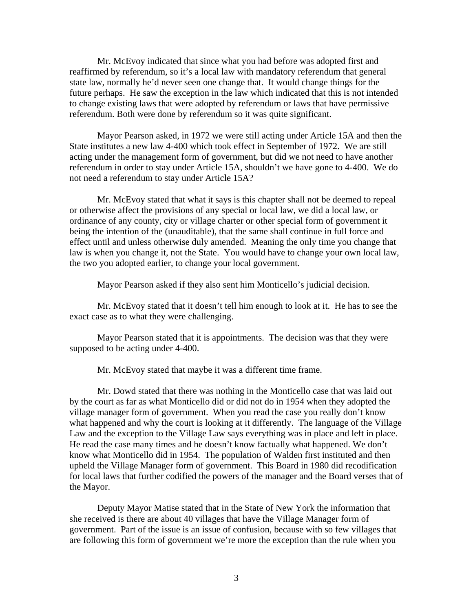Mr. McEvoy indicated that since what you had before was adopted first and reaffirmed by referendum, so it's a local law with mandatory referendum that general state law, normally he'd never seen one change that. It would change things for the future perhaps. He saw the exception in the law which indicated that this is not intended to change existing laws that were adopted by referendum or laws that have permissive referendum. Both were done by referendum so it was quite significant.

 Mayor Pearson asked, in 1972 we were still acting under Article 15A and then the State institutes a new law 4-400 which took effect in September of 1972. We are still acting under the management form of government, but did we not need to have another referendum in order to stay under Article 15A, shouldn't we have gone to 4-400. We do not need a referendum to stay under Article 15A?

 Mr. McEvoy stated that what it says is this chapter shall not be deemed to repeal or otherwise affect the provisions of any special or local law, we did a local law, or ordinance of any county, city or village charter or other special form of government it being the intention of the (unauditable), that the same shall continue in full force and effect until and unless otherwise duly amended. Meaning the only time you change that law is when you change it, not the State. You would have to change your own local law, the two you adopted earlier, to change your local government.

Mayor Pearson asked if they also sent him Monticello's judicial decision.

 Mr. McEvoy stated that it doesn't tell him enough to look at it. He has to see the exact case as to what they were challenging.

 Mayor Pearson stated that it is appointments. The decision was that they were supposed to be acting under 4-400.

Mr. McEvoy stated that maybe it was a different time frame.

 Mr. Dowd stated that there was nothing in the Monticello case that was laid out by the court as far as what Monticello did or did not do in 1954 when they adopted the village manager form of government. When you read the case you really don't know what happened and why the court is looking at it differently. The language of the Village Law and the exception to the Village Law says everything was in place and left in place. He read the case many times and he doesn't know factually what happened. We don't know what Monticello did in 1954. The population of Walden first instituted and then upheld the Village Manager form of government. This Board in 1980 did recodification for local laws that further codified the powers of the manager and the Board verses that of the Mayor.

 Deputy Mayor Matise stated that in the State of New York the information that she received is there are about 40 villages that have the Village Manager form of government. Part of the issue is an issue of confusion, because with so few villages that are following this form of government we're more the exception than the rule when you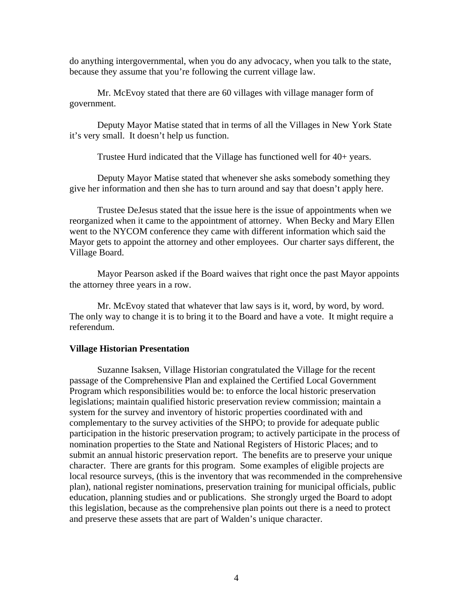do anything intergovernmental, when you do any advocacy, when you talk to the state, because they assume that you're following the current village law.

 Mr. McEvoy stated that there are 60 villages with village manager form of government.

 Deputy Mayor Matise stated that in terms of all the Villages in New York State it's very small. It doesn't help us function.

Trustee Hurd indicated that the Village has functioned well for 40+ years.

 Deputy Mayor Matise stated that whenever she asks somebody something they give her information and then she has to turn around and say that doesn't apply here.

 Trustee DeJesus stated that the issue here is the issue of appointments when we reorganized when it came to the appointment of attorney. When Becky and Mary Ellen went to the NYCOM conference they came with different information which said the Mayor gets to appoint the attorney and other employees. Our charter says different, the Village Board.

 Mayor Pearson asked if the Board waives that right once the past Mayor appoints the attorney three years in a row.

 Mr. McEvoy stated that whatever that law says is it, word, by word, by word. The only way to change it is to bring it to the Board and have a vote. It might require a referendum.

#### **Village Historian Presentation**

Suzanne Isaksen, Village Historian congratulated the Village for the recent passage of the Comprehensive Plan and explained the Certified Local Government Program which responsibilities would be: to enforce the local historic preservation legislations; maintain qualified historic preservation review commission; maintain a system for the survey and inventory of historic properties coordinated with and complementary to the survey activities of the SHPO; to provide for adequate public participation in the historic preservation program; to actively participate in the process of nomination properties to the State and National Registers of Historic Places; and to submit an annual historic preservation report. The benefits are to preserve your unique character. There are grants for this program. Some examples of eligible projects are local resource surveys, (this is the inventory that was recommended in the comprehensive plan), national register nominations, preservation training for municipal officials, public education, planning studies and or publications. She strongly urged the Board to adopt this legislation, because as the comprehensive plan points out there is a need to protect and preserve these assets that are part of Walden's unique character.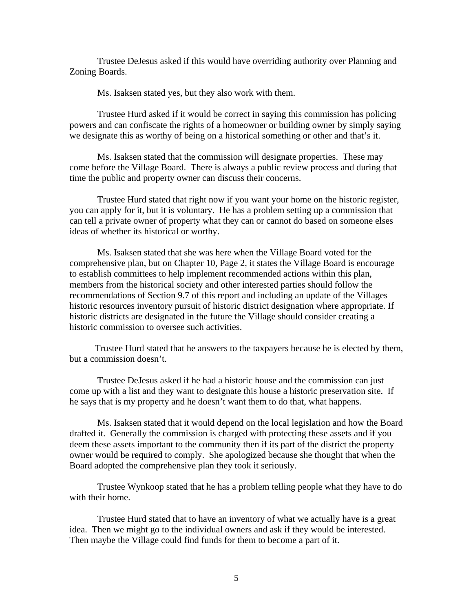Trustee DeJesus asked if this would have overriding authority over Planning and Zoning Boards.

Ms. Isaksen stated yes, but they also work with them.

 Trustee Hurd asked if it would be correct in saying this commission has policing powers and can confiscate the rights of a homeowner or building owner by simply saying we designate this as worthy of being on a historical something or other and that's it.

 Ms. Isaksen stated that the commission will designate properties. These may come before the Village Board. There is always a public review process and during that time the public and property owner can discuss their concerns.

 Trustee Hurd stated that right now if you want your home on the historic register, you can apply for it, but it is voluntary. He has a problem setting up a commission that can tell a private owner of property what they can or cannot do based on someone elses ideas of whether its historical or worthy.

 Ms. Isaksen stated that she was here when the Village Board voted for the comprehensive plan, but on Chapter 10, Page 2, it states the Village Board is encourage to establish committees to help implement recommended actions within this plan, members from the historical society and other interested parties should follow the recommendations of Section 9.7 of this report and including an update of the Villages historic resources inventory pursuit of historic district designation where appropriate. If historic districts are designated in the future the Village should consider creating a historic commission to oversee such activities.

 Trustee Hurd stated that he answers to the taxpayers because he is elected by them, but a commission doesn't.

 Trustee DeJesus asked if he had a historic house and the commission can just come up with a list and they want to designate this house a historic preservation site. If he says that is my property and he doesn't want them to do that, what happens.

 Ms. Isaksen stated that it would depend on the local legislation and how the Board drafted it. Generally the commission is charged with protecting these assets and if you deem these assets important to the community then if its part of the district the property owner would be required to comply. She apologized because she thought that when the Board adopted the comprehensive plan they took it seriously.

 Trustee Wynkoop stated that he has a problem telling people what they have to do with their home.

 Trustee Hurd stated that to have an inventory of what we actually have is a great idea. Then we might go to the individual owners and ask if they would be interested. Then maybe the Village could find funds for them to become a part of it.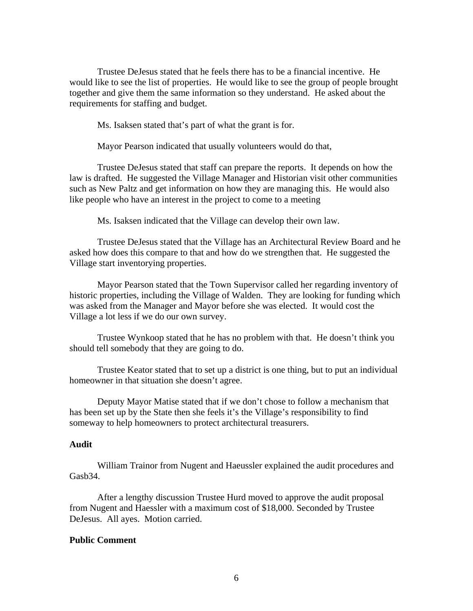Trustee DeJesus stated that he feels there has to be a financial incentive. He would like to see the list of properties. He would like to see the group of people brought together and give them the same information so they understand. He asked about the requirements for staffing and budget.

Ms. Isaksen stated that's part of what the grant is for.

Mayor Pearson indicated that usually volunteers would do that,

Trustee DeJesus stated that staff can prepare the reports. It depends on how the law is drafted. He suggested the Village Manager and Historian visit other communities such as New Paltz and get information on how they are managing this. He would also like people who have an interest in the project to come to a meeting

Ms. Isaksen indicated that the Village can develop their own law.

Trustee DeJesus stated that the Village has an Architectural Review Board and he asked how does this compare to that and how do we strengthen that. He suggested the Village start inventorying properties.

Mayor Pearson stated that the Town Supervisor called her regarding inventory of historic properties, including the Village of Walden. They are looking for funding which was asked from the Manager and Mayor before she was elected. It would cost the Village a lot less if we do our own survey.

Trustee Wynkoop stated that he has no problem with that. He doesn't think you should tell somebody that they are going to do.

Trustee Keator stated that to set up a district is one thing, but to put an individual homeowner in that situation she doesn't agree.

Deputy Mayor Matise stated that if we don't chose to follow a mechanism that has been set up by the State then she feels it's the Village's responsibility to find someway to help homeowners to protect architectural treasurers.

### **Audit**

William Trainor from Nugent and Haeussler explained the audit procedures and Gasb34.

 After a lengthy discussion Trustee Hurd moved to approve the audit proposal from Nugent and Haessler with a maximum cost of \$18,000. Seconded by Trustee DeJesus. All ayes. Motion carried.

#### **Public Comment**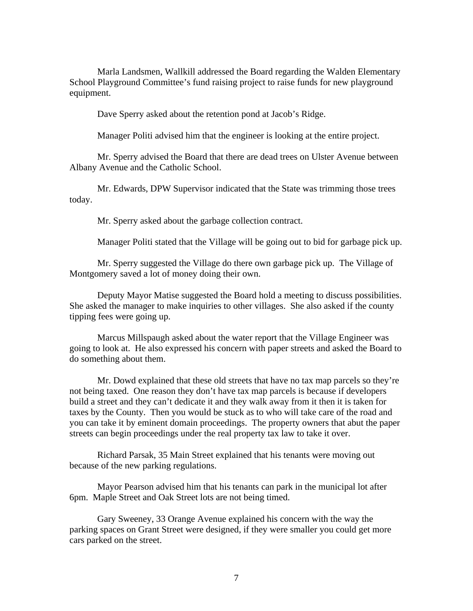Marla Landsmen, Wallkill addressed the Board regarding the Walden Elementary School Playground Committee's fund raising project to raise funds for new playground equipment.

Dave Sperry asked about the retention pond at Jacob's Ridge.

Manager Politi advised him that the engineer is looking at the entire project.

 Mr. Sperry advised the Board that there are dead trees on Ulster Avenue between Albany Avenue and the Catholic School.

 Mr. Edwards, DPW Supervisor indicated that the State was trimming those trees today.

Mr. Sperry asked about the garbage collection contract.

Manager Politi stated that the Village will be going out to bid for garbage pick up.

 Mr. Sperry suggested the Village do there own garbage pick up. The Village of Montgomery saved a lot of money doing their own.

 Deputy Mayor Matise suggested the Board hold a meeting to discuss possibilities. She asked the manager to make inquiries to other villages. She also asked if the county tipping fees were going up.

 Marcus Millspaugh asked about the water report that the Village Engineer was going to look at. He also expressed his concern with paper streets and asked the Board to do something about them.

 Mr. Dowd explained that these old streets that have no tax map parcels so they're not being taxed. One reason they don't have tax map parcels is because if developers build a street and they can't dedicate it and they walk away from it then it is taken for taxes by the County. Then you would be stuck as to who will take care of the road and you can take it by eminent domain proceedings. The property owners that abut the paper streets can begin proceedings under the real property tax law to take it over.

 Richard Parsak, 35 Main Street explained that his tenants were moving out because of the new parking regulations.

 Mayor Pearson advised him that his tenants can park in the municipal lot after 6pm. Maple Street and Oak Street lots are not being timed.

 Gary Sweeney, 33 Orange Avenue explained his concern with the way the parking spaces on Grant Street were designed, if they were smaller you could get more cars parked on the street.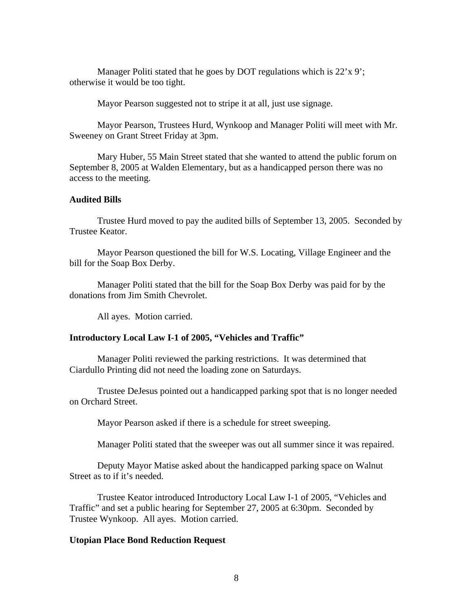Manager Politi stated that he goes by DOT regulations which is 22'x 9'; otherwise it would be too tight.

Mayor Pearson suggested not to stripe it at all, just use signage.

 Mayor Pearson, Trustees Hurd, Wynkoop and Manager Politi will meet with Mr. Sweeney on Grant Street Friday at 3pm.

 Mary Huber, 55 Main Street stated that she wanted to attend the public forum on September 8, 2005 at Walden Elementary, but as a handicapped person there was no access to the meeting.

## **Audited Bills**

Trustee Hurd moved to pay the audited bills of September 13, 2005. Seconded by Trustee Keator.

 Mayor Pearson questioned the bill for W.S. Locating, Village Engineer and the bill for the Soap Box Derby.

 Manager Politi stated that the bill for the Soap Box Derby was paid for by the donations from Jim Smith Chevrolet.

All ayes. Motion carried.

### **Introductory Local Law I-1 of 2005, "Vehicles and Traffic"**

Manager Politi reviewed the parking restrictions. It was determined that Ciardullo Printing did not need the loading zone on Saturdays.

Trustee DeJesus pointed out a handicapped parking spot that is no longer needed on Orchard Street.

Mayor Pearson asked if there is a schedule for street sweeping.

Manager Politi stated that the sweeper was out all summer since it was repaired.

 Deputy Mayor Matise asked about the handicapped parking space on Walnut Street as to if it's needed.

Trustee Keator introduced Introductory Local Law I-1 of 2005, "Vehicles and Traffic" and set a public hearing for September 27, 2005 at 6:30pm. Seconded by Trustee Wynkoop. All ayes. Motion carried.

#### **Utopian Place Bond Reduction Request**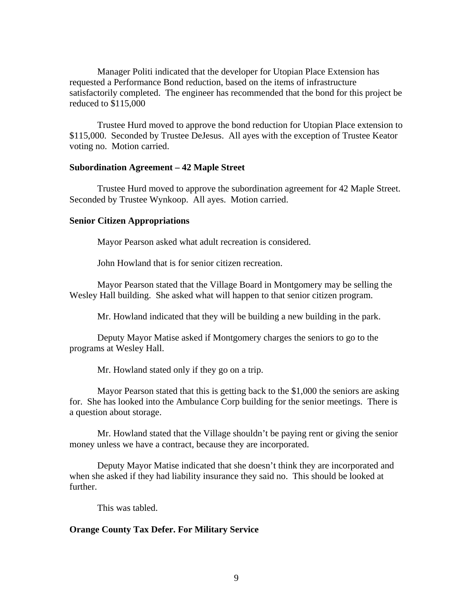Manager Politi indicated that the developer for Utopian Place Extension has requested a Performance Bond reduction, based on the items of infrastructure satisfactorily completed. The engineer has recommended that the bond for this project be reduced to \$115,000

Trustee Hurd moved to approve the bond reduction for Utopian Place extension to \$115,000. Seconded by Trustee DeJesus. All ayes with the exception of Trustee Keator voting no. Motion carried.

#### **Subordination Agreement – 42 Maple Street**

Trustee Hurd moved to approve the subordination agreement for 42 Maple Street. Seconded by Trustee Wynkoop. All ayes. Motion carried.

#### **Senior Citizen Appropriations**

Mayor Pearson asked what adult recreation is considered.

John Howland that is for senior citizen recreation.

 Mayor Pearson stated that the Village Board in Montgomery may be selling the Wesley Hall building. She asked what will happen to that senior citizen program.

Mr. Howland indicated that they will be building a new building in the park.

 Deputy Mayor Matise asked if Montgomery charges the seniors to go to the programs at Wesley Hall.

Mr. Howland stated only if they go on a trip.

 Mayor Pearson stated that this is getting back to the \$1,000 the seniors are asking for. She has looked into the Ambulance Corp building for the senior meetings. There is a question about storage.

 Mr. Howland stated that the Village shouldn't be paying rent or giving the senior money unless we have a contract, because they are incorporated.

 Deputy Mayor Matise indicated that she doesn't think they are incorporated and when she asked if they had liability insurance they said no. This should be looked at further.

This was tabled.

### **Orange County Tax Defer. For Military Service**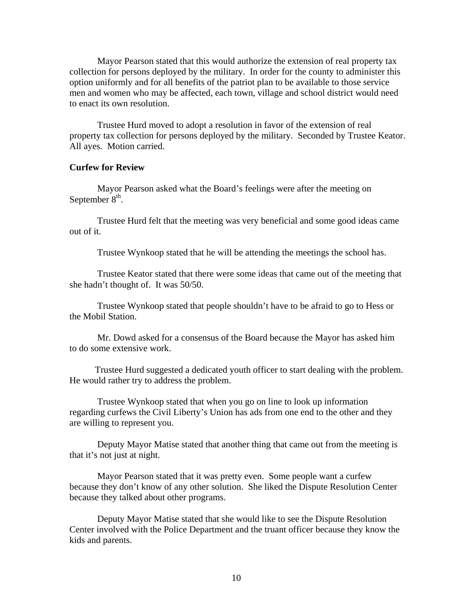Mayor Pearson stated that this would authorize the extension of real property tax collection for persons deployed by the military. In order for the county to administer this option uniformly and for all benefits of the patriot plan to be available to those service men and women who may be affected, each town, village and school district would need to enact its own resolution.

Trustee Hurd moved to adopt a resolution in favor of the extension of real property tax collection for persons deployed by the military. Seconded by Trustee Keator. All ayes. Motion carried.

### **Curfew for Review**

Mayor Pearson asked what the Board's feelings were after the meeting on September  $8<sup>th</sup>$ .

 Trustee Hurd felt that the meeting was very beneficial and some good ideas came out of it.

Trustee Wynkoop stated that he will be attending the meetings the school has.

 Trustee Keator stated that there were some ideas that came out of the meeting that she hadn't thought of. It was 50/50.

 Trustee Wynkoop stated that people shouldn't have to be afraid to go to Hess or the Mobil Station.

Mr. Dowd asked for a consensus of the Board because the Mayor has asked him to do some extensive work.

 Trustee Hurd suggested a dedicated youth officer to start dealing with the problem. He would rather try to address the problem.

 Trustee Wynkoop stated that when you go on line to look up information regarding curfews the Civil Liberty's Union has ads from one end to the other and they are willing to represent you.

 Deputy Mayor Matise stated that another thing that came out from the meeting is that it's not just at night.

 Mayor Pearson stated that it was pretty even. Some people want a curfew because they don't know of any other solution. She liked the Dispute Resolution Center because they talked about other programs.

 Deputy Mayor Matise stated that she would like to see the Dispute Resolution Center involved with the Police Department and the truant officer because they know the kids and parents.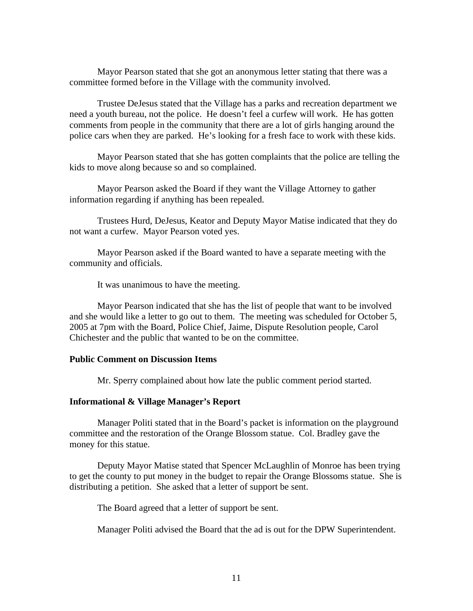Mayor Pearson stated that she got an anonymous letter stating that there was a committee formed before in the Village with the community involved.

 Trustee DeJesus stated that the Village has a parks and recreation department we need a youth bureau, not the police. He doesn't feel a curfew will work. He has gotten comments from people in the community that there are a lot of girls hanging around the police cars when they are parked. He's looking for a fresh face to work with these kids.

 Mayor Pearson stated that she has gotten complaints that the police are telling the kids to move along because so and so complained.

 Mayor Pearson asked the Board if they want the Village Attorney to gather information regarding if anything has been repealed.

Trustees Hurd, DeJesus, Keator and Deputy Mayor Matise indicated that they do not want a curfew. Mayor Pearson voted yes.

Mayor Pearson asked if the Board wanted to have a separate meeting with the community and officials.

It was unanimous to have the meeting.

Mayor Pearson indicated that she has the list of people that want to be involved and she would like a letter to go out to them. The meeting was scheduled for October 5, 2005 at 7pm with the Board, Police Chief, Jaime, Dispute Resolution people, Carol Chichester and the public that wanted to be on the committee.

#### **Public Comment on Discussion Items**

Mr. Sperry complained about how late the public comment period started.

#### **Informational & Village Manager's Report**

Manager Politi stated that in the Board's packet is information on the playground committee and the restoration of the Orange Blossom statue. Col. Bradley gave the money for this statue.

 Deputy Mayor Matise stated that Spencer McLaughlin of Monroe has been trying to get the county to put money in the budget to repair the Orange Blossoms statue. She is distributing a petition. She asked that a letter of support be sent.

The Board agreed that a letter of support be sent.

Manager Politi advised the Board that the ad is out for the DPW Superintendent.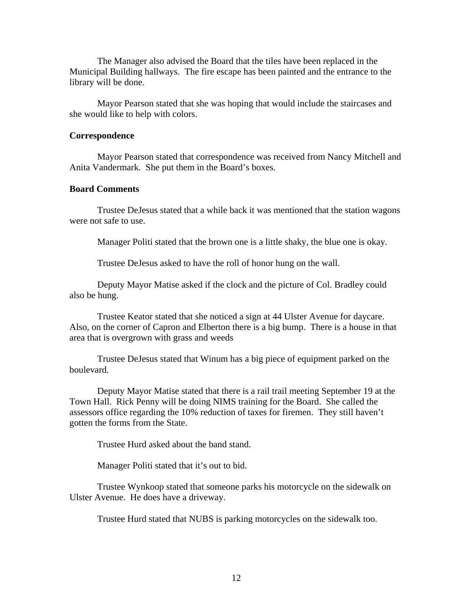The Manager also advised the Board that the tiles have been replaced in the Municipal Building hallways. The fire escape has been painted and the entrance to the library will be done.

 Mayor Pearson stated that she was hoping that would include the staircases and she would like to help with colors.

#### **Correspondence**

Mayor Pearson stated that correspondence was received from Nancy Mitchell and Anita Vandermark. She put them in the Board's boxes.

### **Board Comments**

 Trustee DeJesus stated that a while back it was mentioned that the station wagons were not safe to use.

Manager Politi stated that the brown one is a little shaky, the blue one is okay.

Trustee DeJesus asked to have the roll of honor hung on the wall.

 Deputy Mayor Matise asked if the clock and the picture of Col. Bradley could also be hung.

 Trustee Keator stated that she noticed a sign at 44 Ulster Avenue for daycare. Also, on the corner of Capron and Elberton there is a big bump. There is a house in that area that is overgrown with grass and weeds

 Trustee DeJesus stated that Winum has a big piece of equipment parked on the boulevard.

 Deputy Mayor Matise stated that there is a rail trail meeting September 19 at the Town Hall. Rick Penny will be doing NIMS training for the Board. She called the assessors office regarding the 10% reduction of taxes for firemen. They still haven't gotten the forms from the State.

Trustee Hurd asked about the band stand.

Manager Politi stated that it's out to bid.

 Trustee Wynkoop stated that someone parks his motorcycle on the sidewalk on Ulster Avenue. He does have a driveway.

Trustee Hurd stated that NUBS is parking motorcycles on the sidewalk too.